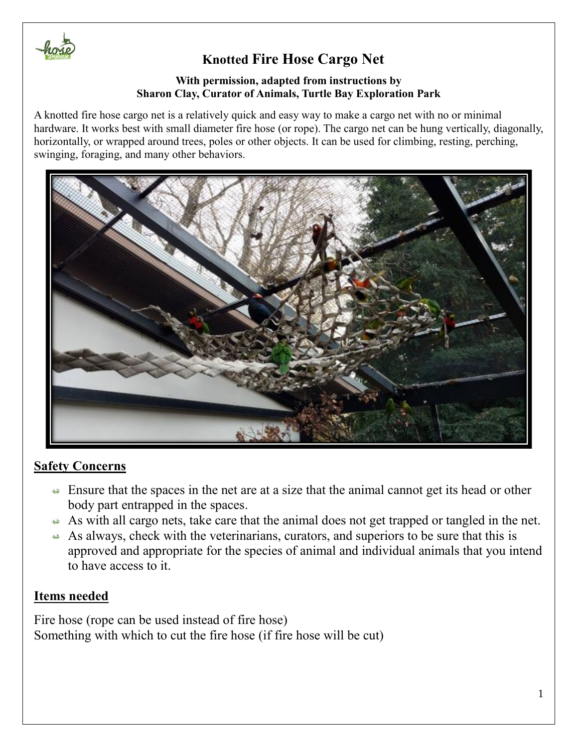

#### **With permission, adapted from instructions by Sharon Clay, Curator of Animals, Turtle Bay Exploration Park**

A knotted fire hose cargo net is a relatively quick and easy way to make a cargo net with no or minimal hardware. It works best with small diameter fire hose (or rope). The cargo net can be hung vertically, diagonally, horizontally, or wrapped around trees, poles or other objects. It can be used for climbing, resting, perching, swinging, foraging, and many other behaviors.



### **Safety Concerns**

- $\triangle$  Ensure that the spaces in the net are at a size that the animal cannot get its head or other body part entrapped in the spaces.
- As with all cargo nets, take care that the animal does not get trapped or tangled in the net.
- As always, check with the veterinarians, curators, and superiors to be sure that this is approved and appropriate for the species of animal and individual animals that you intend to have access to it.

### **Items needed**

Fire hose (rope can be used instead of fire hose) Something with which to cut the fire hose (if fire hose will be cut)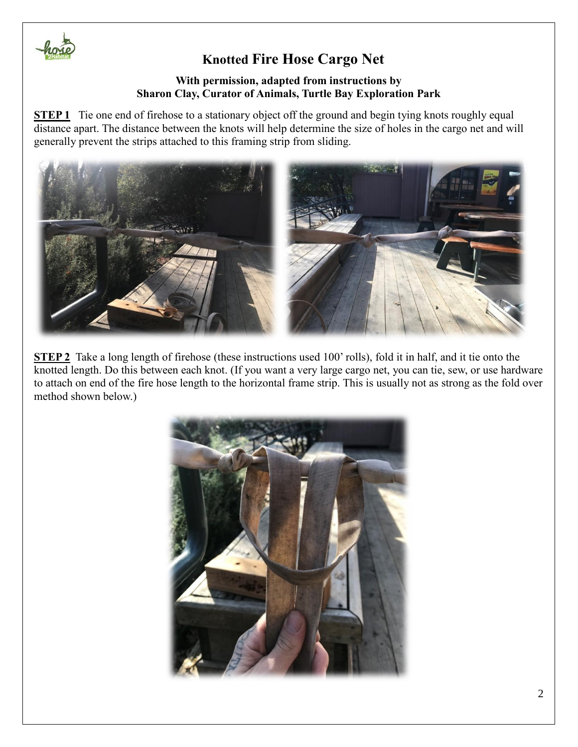

#### **With permission, adapted from instructions by Sharon Clay, Curator of Animals, Turtle Bay Exploration Park**

**STEP 1** Tie one end of firehose to a stationary object off the ground and begin tying knots roughly equal distance apart. The distance between the knots will help determine the size of holes in the cargo net and will generally prevent the strips attached to this framing strip from sliding.



**STEP 2** Take a long length of firehose (these instructions used 100' rolls), fold it in half, and it tie onto the knotted length. Do this between each knot. (If you want a very large cargo net, you can tie, sew, or use hardware to attach on end of the fire hose length to the horizontal frame strip. This is usually not as strong as the fold over method shown below.)

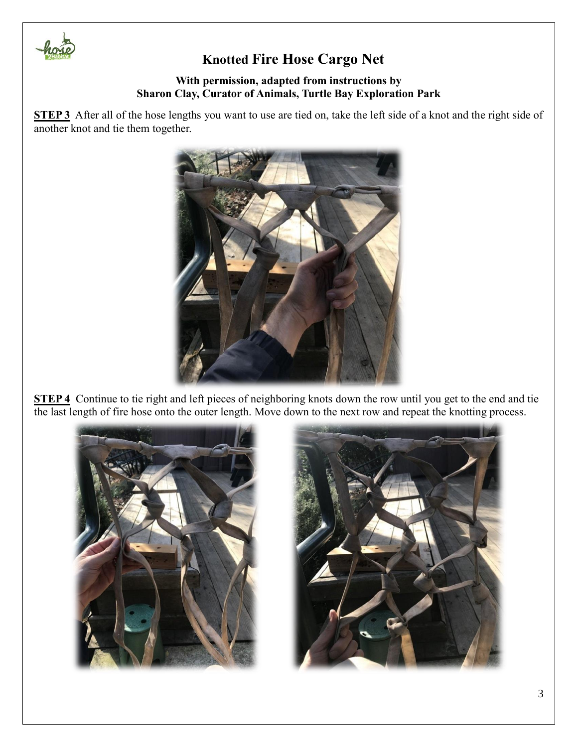

#### **With permission, adapted from instructions by Sharon Clay, Curator of Animals, Turtle Bay Exploration Park**

**STEP 3** After all of the hose lengths you want to use are tied on, take the left side of a knot and the right side of another knot and tie them together.



**STEP 4** Continue to tie right and left pieces of neighboring knots down the row until you get to the end and tie the last length of fire hose onto the outer length. Move down to the next row and repeat the knotting process.